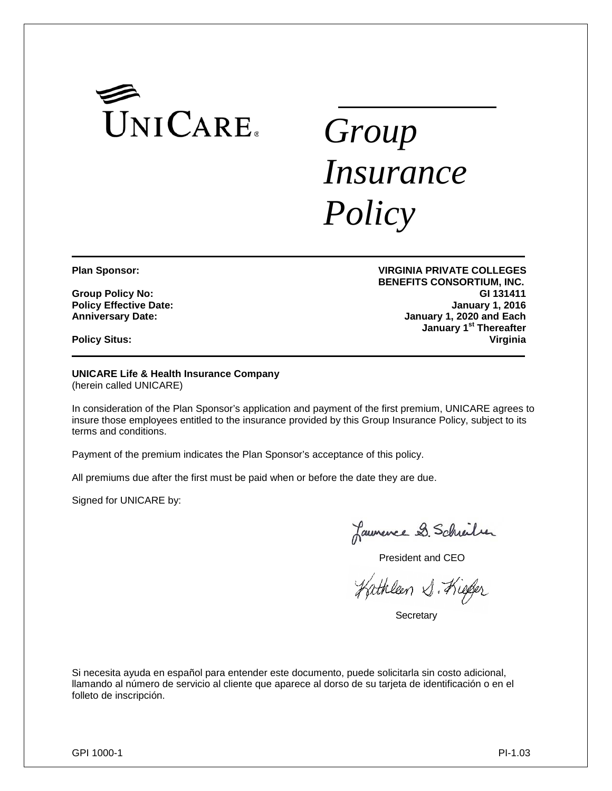

# *Group Insurance Policy*

**Policy Effective Date:** 

**Policy Situs:** 

**Plan Sponsor: VIRGINIA PRIVATE COLLEGES BENEFITS CONSORTIUM, INC. Group Policy No: GI 131411 Anniversary Date: January 1, 2020 and Each January 1st Thereafter**

**UNICARE Life & Health Insurance Company** (herein called UNICARE)

In consideration of the Plan Sponsor's application and payment of the first premium, UNICARE agrees to insure those employees entitled to the insurance provided by this Group Insurance Policy, subject to its terms and conditions.

Payment of the premium indicates the Plan Sponsor's acceptance of this policy.

All premiums due after the first must be paid when or before the date they are due.

Signed for UNICARE by:

Launence D. Schrider

President and CEO

Kathleen S. Kiefer

**Secretary** 

Si necesita ayuda en español para entender este documento, puede solicitarla sin costo adicional, llamando al número de servicio al cliente que aparece al dorso de su tarjeta de identificación o en el folleto de inscripción.

GPI 1000-1 PI-1.03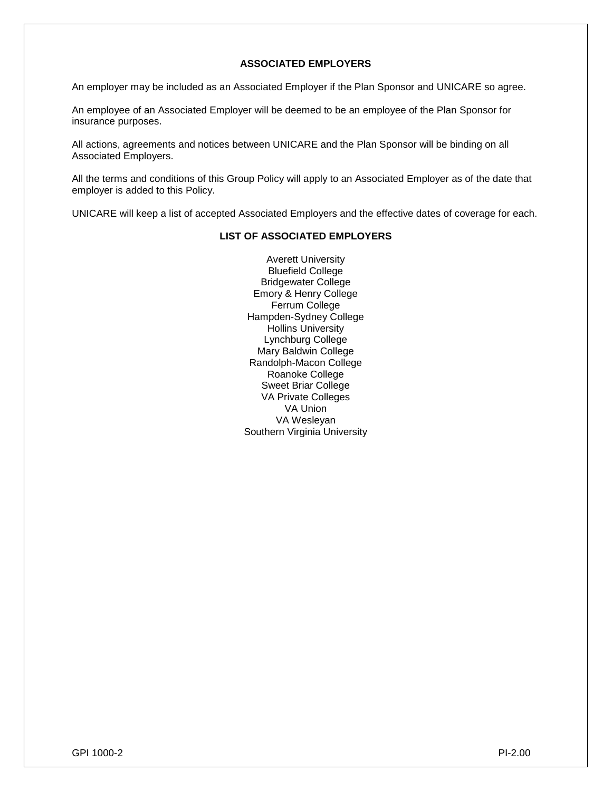# **ASSOCIATED EMPLOYERS**

An employer may be included as an Associated Employer if the Plan Sponsor and UNICARE so agree.

An employee of an Associated Employer will be deemed to be an employee of the Plan Sponsor for insurance purposes.

All actions, agreements and notices between UNICARE and the Plan Sponsor will be binding on all Associated Employers.

All the terms and conditions of this Group Policy will apply to an Associated Employer as of the date that employer is added to this Policy.

UNICARE will keep a list of accepted Associated Employers and the effective dates of coverage for each.

# **LIST OF ASSOCIATED EMPLOYERS**

Averett University Bluefield College Bridgewater College Emory & Henry College Ferrum College Hampden-Sydney College Hollins University Lynchburg College Mary Baldwin College Randolph-Macon College Roanoke College Sweet Briar College VA Private Colleges VA Union VA Wesleyan Southern Virginia University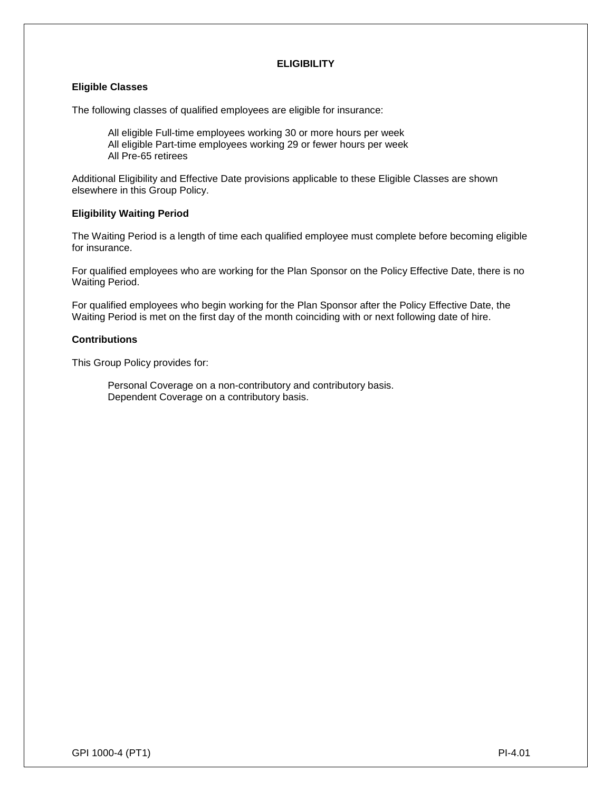# **ELIGIBILITY**

## **Eligible Classes**

The following classes of qualified employees are eligible for insurance:

All eligible Full-time employees working 30 or more hours per week All eligible Part-time employees working 29 or fewer hours per week All Pre-65 retirees

Additional Eligibility and Effective Date provisions applicable to these Eligible Classes are shown elsewhere in this Group Policy.

#### **Eligibility Waiting Period**

The Waiting Period is a length of time each qualified employee must complete before becoming eligible for insurance.

For qualified employees who are working for the Plan Sponsor on the Policy Effective Date, there is no Waiting Period.

For qualified employees who begin working for the Plan Sponsor after the Policy Effective Date, the Waiting Period is met on the first day of the month coinciding with or next following date of hire.

#### **Contributions**

This Group Policy provides for:

Personal Coverage on a non-contributory and contributory basis. Dependent Coverage on a contributory basis.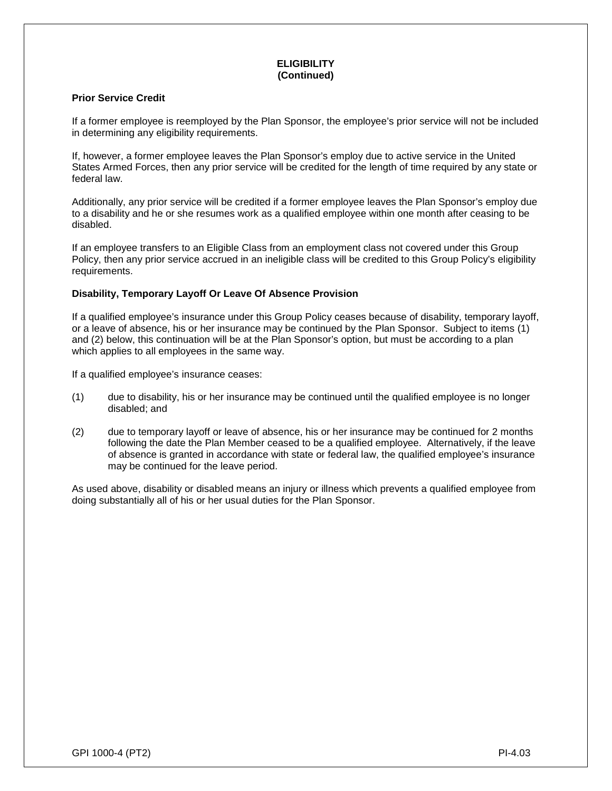# **ELIGIBILITY (Continued)**

# **Prior Service Credit**

If a former employee is reemployed by the Plan Sponsor, the employee's prior service will not be included in determining any eligibility requirements.

If, however, a former employee leaves the Plan Sponsor's employ due to active service in the United States Armed Forces, then any prior service will be credited for the length of time required by any state or federal law.

Additionally, any prior service will be credited if a former employee leaves the Plan Sponsor's employ due to a disability and he or she resumes work as a qualified employee within one month after ceasing to be disabled.

If an employee transfers to an Eligible Class from an employment class not covered under this Group Policy, then any prior service accrued in an ineligible class will be credited to this Group Policy's eligibility requirements.

# **Disability, Temporary Layoff Or Leave Of Absence Provision**

If a qualified employee's insurance under this Group Policy ceases because of disability, temporary layoff, or a leave of absence, his or her insurance may be continued by the Plan Sponsor. Subject to items (1) and (2) below, this continuation will be at the Plan Sponsor's option, but must be according to a plan which applies to all employees in the same way.

If a qualified employee's insurance ceases:

- (1) due to disability, his or her insurance may be continued until the qualified employee is no longer disabled; and
- (2) due to temporary layoff or leave of absence, his or her insurance may be continued for 2 months following the date the Plan Member ceased to be a qualified employee. Alternatively, if the leave of absence is granted in accordance with state or federal law, the qualified employee's insurance may be continued for the leave period.

As used above, disability or disabled means an injury or illness which prevents a qualified employee from doing substantially all of his or her usual duties for the Plan Sponsor.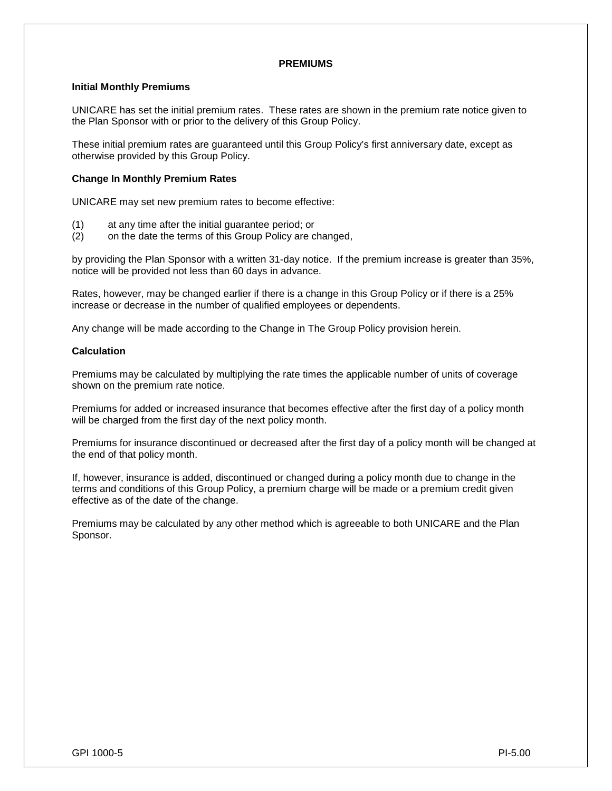#### **PREMIUMS**

#### **Initial Monthly Premiums**

UNICARE has set the initial premium rates. These rates are shown in the premium rate notice given to the Plan Sponsor with or prior to the delivery of this Group Policy.

These initial premium rates are guaranteed until this Group Policy's first anniversary date, except as otherwise provided by this Group Policy.

#### **Change In Monthly Premium Rates**

UNICARE may set new premium rates to become effective:

- (1) at any time after the initial guarantee period; or
- on the date the terms of this Group Policy are changed,

by providing the Plan Sponsor with a written 31-day notice. If the premium increase is greater than 35%, notice will be provided not less than 60 days in advance.

Rates, however, may be changed earlier if there is a change in this Group Policy or if there is a 25% increase or decrease in the number of qualified employees or dependents.

Any change will be made according to the Change in The Group Policy provision herein.

#### **Calculation**

Premiums may be calculated by multiplying the rate times the applicable number of units of coverage shown on the premium rate notice.

Premiums for added or increased insurance that becomes effective after the first day of a policy month will be charged from the first day of the next policy month.

Premiums for insurance discontinued or decreased after the first day of a policy month will be changed at the end of that policy month.

If, however, insurance is added, discontinued or changed during a policy month due to change in the terms and conditions of this Group Policy, a premium charge will be made or a premium credit given effective as of the date of the change.

Premiums may be calculated by any other method which is agreeable to both UNICARE and the Plan Sponsor.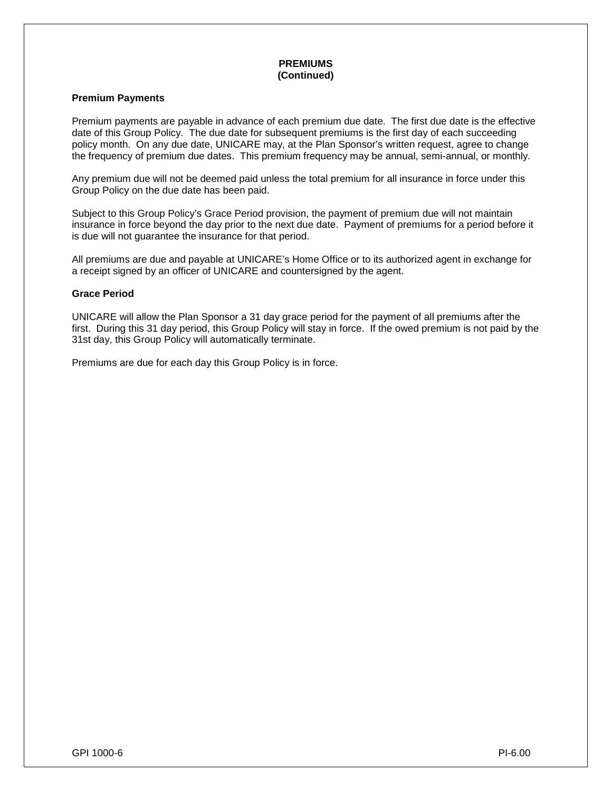#### **PREMIUMS (Continued)**

## **Premium Payments**

Premium payments are payable in advance of each premium due date. The first due date is the effective date of this Group Policy. The due date for subsequent premiums is the first day of each succeeding policy month. On any due date, UNICARE may, at the Plan Sponsor's written request, agree to change the frequency of premium due dates. This premium frequency may be annual, semi-annual, or monthly.

Any premium due will not be deemed paid unless the total premium for all insurance in force under this Group Policy on the due date has been paid.

Subject to this Group Policy's Grace Period provision, the payment of premium due will not maintain insurance in force beyond the day prior to the next due date. Payment of premiums for a period before it is due will not guarantee the insurance for that period.

All premiums are due and payable at UNICARE's Home Office or to its authorized agent in exchange for a receipt signed by an officer of UNICARE and countersigned by the agent.

#### **Grace Period**

UNICARE will allow the Plan Sponsor a 31 day grace period for the payment of all premiums after the first. During this 31 day period, this Group Policy will stay in force. If the owed premium is not paid by the 31st day, this Group Policy will automatically terminate.

Premiums are due for each day this Group Policy is in force.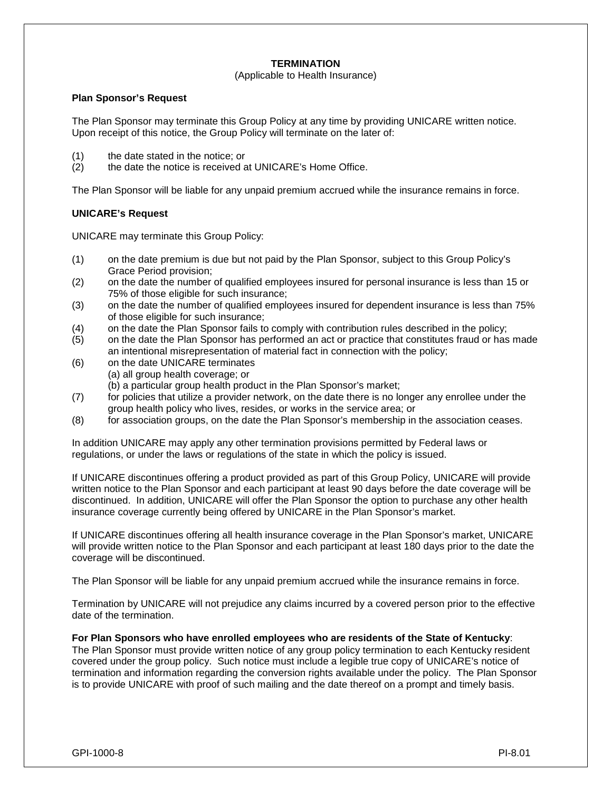# **TERMINATION**

## (Applicable to Health Insurance)

#### **Plan Sponsor's Request**

The Plan Sponsor may terminate this Group Policy at any time by providing UNICARE written notice. Upon receipt of this notice, the Group Policy will terminate on the later of:

- (1) the date stated in the notice; or
- (2) the date the notice is received at UNICARE's Home Office.

The Plan Sponsor will be liable for any unpaid premium accrued while the insurance remains in force.

## **UNICARE's Request**

UNICARE may terminate this Group Policy:

- (1) on the date premium is due but not paid by the Plan Sponsor, subject to this Group Policy's Grace Period provision;
- (2) on the date the number of qualified employees insured for personal insurance is less than 15 or 75% of those eligible for such insurance;
- (3) on the date the number of qualified employees insured for dependent insurance is less than 75% of those eligible for such insurance;
- (4) on the date the Plan Sponsor fails to comply with contribution rules described in the policy;
- (5) on the date the Plan Sponsor has performed an act or practice that constitutes fraud or has made an intentional misrepresentation of material fact in connection with the policy;
- (6) on the date UNICARE terminates (a) all group health coverage; or
	- (b) a particular group health product in the Plan Sponsor's market;
- (7) for policies that utilize a provider network, on the date there is no longer any enrollee under the group health policy who lives, resides, or works in the service area; or
- (8) for association groups, on the date the Plan Sponsor's membership in the association ceases.

In addition UNICARE may apply any other termination provisions permitted by Federal laws or regulations, or under the laws or regulations of the state in which the policy is issued.

If UNICARE discontinues offering a product provided as part of this Group Policy, UNICARE will provide written notice to the Plan Sponsor and each participant at least 90 days before the date coverage will be discontinued. In addition, UNICARE will offer the Plan Sponsor the option to purchase any other health insurance coverage currently being offered by UNICARE in the Plan Sponsor's market.

If UNICARE discontinues offering all health insurance coverage in the Plan Sponsor's market, UNICARE will provide written notice to the Plan Sponsor and each participant at least 180 days prior to the date the coverage will be discontinued.

The Plan Sponsor will be liable for any unpaid premium accrued while the insurance remains in force.

Termination by UNICARE will not prejudice any claims incurred by a covered person prior to the effective date of the termination.

**For Plan Sponsors who have enrolled employees who are residents of the State of Kentucky**: The Plan Sponsor must provide written notice of any group policy termination to each Kentucky resident covered under the group policy. Such notice must include a legible true copy of UNICARE's notice of termination and information regarding the conversion rights available under the policy. The Plan Sponsor is to provide UNICARE with proof of such mailing and the date thereof on a prompt and timely basis.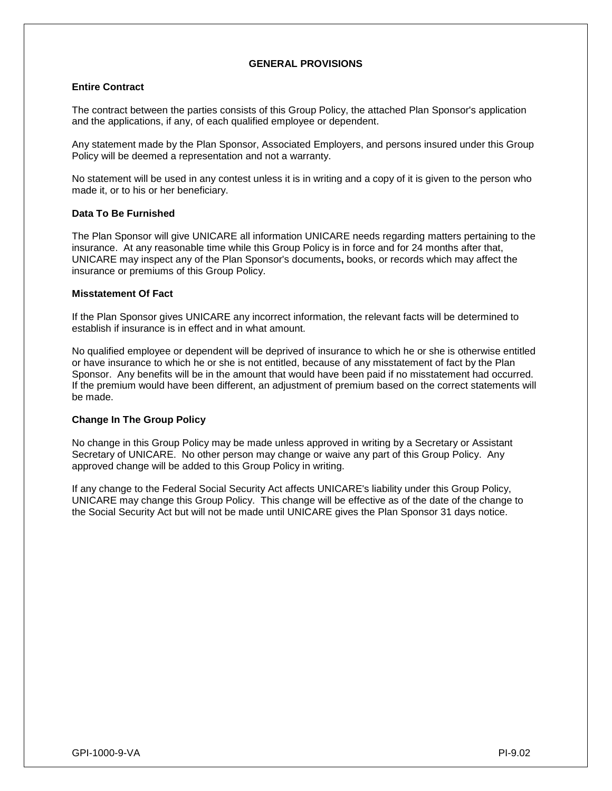## **GENERAL PROVISIONS**

## **Entire Contract**

The contract between the parties consists of this Group Policy, the attached Plan Sponsor's application and the applications, if any, of each qualified employee or dependent.

Any statement made by the Plan Sponsor, Associated Employers, and persons insured under this Group Policy will be deemed a representation and not a warranty.

No statement will be used in any contest unless it is in writing and a copy of it is given to the person who made it, or to his or her beneficiary.

#### **Data To Be Furnished**

The Plan Sponsor will give UNICARE all information UNICARE needs regarding matters pertaining to the insurance. At any reasonable time while this Group Policy is in force and for 24 months after that, UNICARE may inspect any of the Plan Sponsor's documents**,** books, or records which may affect the insurance or premiums of this Group Policy.

#### **Misstatement Of Fact**

If the Plan Sponsor gives UNICARE any incorrect information, the relevant facts will be determined to establish if insurance is in effect and in what amount.

No qualified employee or dependent will be deprived of insurance to which he or she is otherwise entitled or have insurance to which he or she is not entitled, because of any misstatement of fact by the Plan Sponsor. Any benefits will be in the amount that would have been paid if no misstatement had occurred. If the premium would have been different, an adjustment of premium based on the correct statements will be made.

## **Change In The Group Policy**

No change in this Group Policy may be made unless approved in writing by a Secretary or Assistant Secretary of UNICARE. No other person may change or waive any part of this Group Policy. Any approved change will be added to this Group Policy in writing.

If any change to the Federal Social Security Act affects UNICARE's liability under this Group Policy, UNICARE may change this Group Policy. This change will be effective as of the date of the change to the Social Security Act but will not be made until UNICARE gives the Plan Sponsor 31 days notice.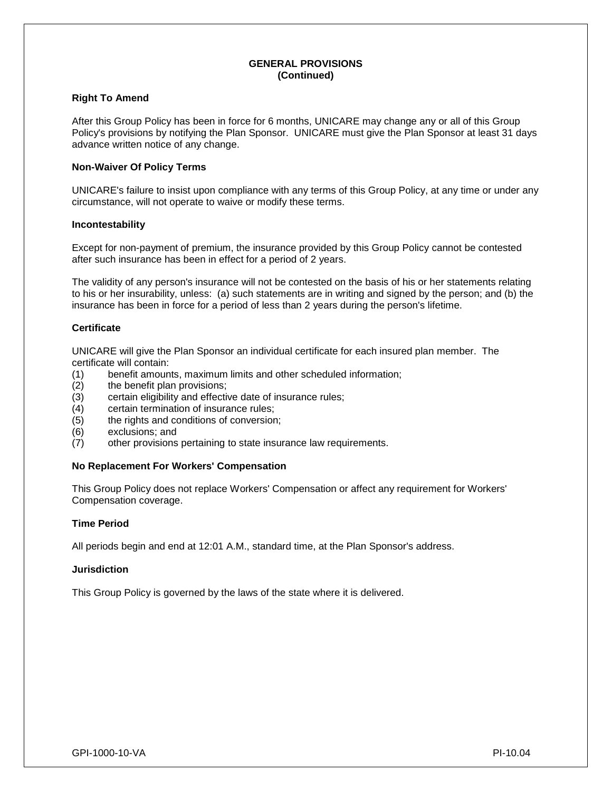#### **GENERAL PROVISIONS (Continued)**

## **Right To Amend**

After this Group Policy has been in force for 6 months, UNICARE may change any or all of this Group Policy's provisions by notifying the Plan Sponsor. UNICARE must give the Plan Sponsor at least 31 days advance written notice of any change.

## **Non-Waiver Of Policy Terms**

UNICARE's failure to insist upon compliance with any terms of this Group Policy, at any time or under any circumstance, will not operate to waive or modify these terms.

## **Incontestability**

Except for non-payment of premium, the insurance provided by this Group Policy cannot be contested after such insurance has been in effect for a period of 2 years.

The validity of any person's insurance will not be contested on the basis of his or her statements relating to his or her insurability, unless: (a) such statements are in writing and signed by the person; and (b) the insurance has been in force for a period of less than 2 years during the person's lifetime.

## **Certificate**

UNICARE will give the Plan Sponsor an individual certificate for each insured plan member. The certificate will contain:

- (1) benefit amounts, maximum limits and other scheduled information;
- (2) the benefit plan provisions;
- (3) certain eligibility and effective date of insurance rules;
- (4) certain termination of insurance rules;<br>(5) the rights and conditions of conversior
- the rights and conditions of conversion;
- (6) exclusions; and
- (7) other provisions pertaining to state insurance law requirements.

## **No Replacement For Workers' Compensation**

This Group Policy does not replace Workers' Compensation or affect any requirement for Workers' Compensation coverage.

#### **Time Period**

All periods begin and end at 12:01 A.M., standard time, at the Plan Sponsor's address.

## **Jurisdiction**

This Group Policy is governed by the laws of the state where it is delivered.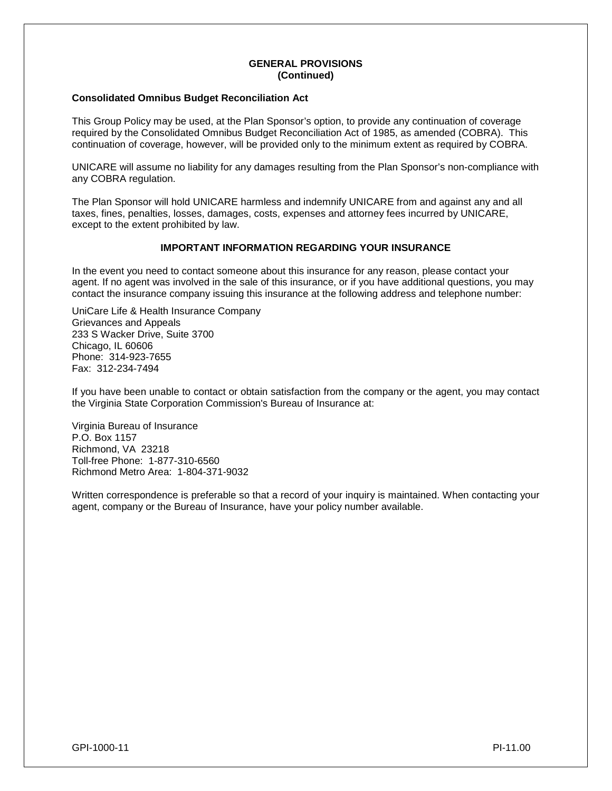#### **GENERAL PROVISIONS (Continued)**

## **Consolidated Omnibus Budget Reconciliation Act**

This Group Policy may be used, at the Plan Sponsor's option, to provide any continuation of coverage required by the Consolidated Omnibus Budget Reconciliation Act of 1985, as amended (COBRA). This continuation of coverage, however, will be provided only to the minimum extent as required by COBRA.

UNICARE will assume no liability for any damages resulting from the Plan Sponsor's non-compliance with any COBRA regulation.

The Plan Sponsor will hold UNICARE harmless and indemnify UNICARE from and against any and all taxes, fines, penalties, losses, damages, costs, expenses and attorney fees incurred by UNICARE, except to the extent prohibited by law.

## **IMPORTANT INFORMATION REGARDING YOUR INSURANCE**

In the event you need to contact someone about this insurance for any reason, please contact your agent. If no agent was involved in the sale of this insurance, or if you have additional questions, you may contact the insurance company issuing this insurance at the following address and telephone number:

UniCare Life & Health Insurance Company Grievances and Appeals 233 S Wacker Drive, Suite 3700 Chicago, IL 60606 Phone: 314-923-7655 Fax: 312-234-7494

If you have been unable to contact or obtain satisfaction from the company or the agent, you may contact the Virginia State Corporation Commission's Bureau of Insurance at:

Virginia Bureau of Insurance P.O. Box 1157 Richmond, VA 23218 Toll-free Phone: 1-877-310-6560 Richmond Metro Area: 1-804-371-9032

Written correspondence is preferable so that a record of your inquiry is maintained. When contacting your agent, company or the Bureau of Insurance, have your policy number available.